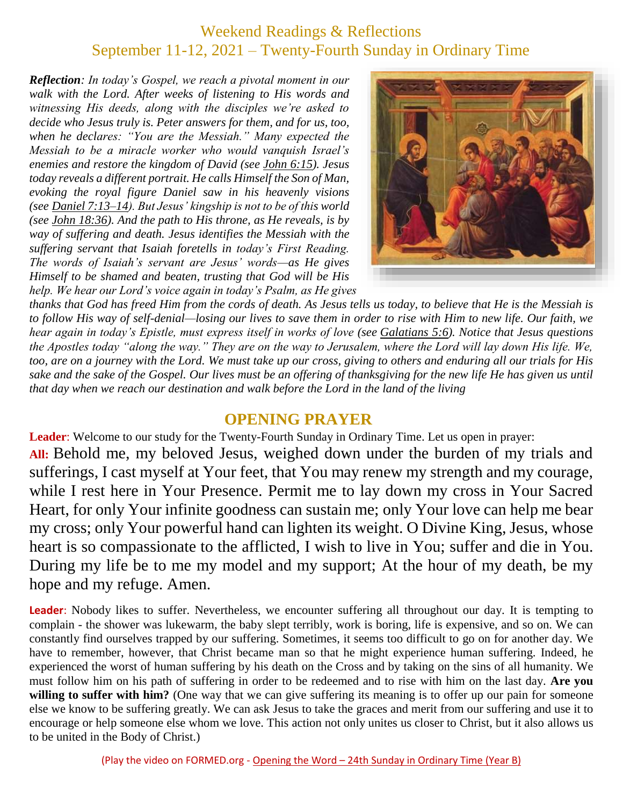# Weekend Readings & Reflections September 11-12, 2021 – Twenty-Fourth Sunday in Ordinary Time

*Reflection: In today's Gospel, we reach a pivotal moment in our walk with the Lord. After weeks of listening to His words and witnessing His deeds, along with the disciples we're asked to decide who Jesus truly is. Peter answers for them, and for us, too, when he declares: "You are the Messiah." Many expected the Messiah to be a miracle worker who would vanquish Israel's enemies and restore the kingdom of David (see John [6:15\)](https://biblia.com/bible/rsvce/John%206.15). Jesus today reveals a different portrait. He calls Himself the Son of Man, evoking the royal figure Daniel saw in his heavenly visions (see Daniel [7:13–14\)](https://biblia.com/bible/rsvce/Dan%207.13%E2%80%9314). But Jesus' kingship is not to be of this world (see John [18:36\)](https://biblia.com/bible/rsvce/John%2018.36). And the path to His throne, as He reveals, is by way of suffering and death. Jesus identifies the Messiah with the suffering servant that Isaiah foretells in today's First Reading. The words of Isaiah's servant are Jesus' words—as He gives Himself to be shamed and beaten, trusting that God will be His help. We hear our Lord's voice again in today's Psalm, as He gives* 



*thanks that God has freed Him from the cords of death. As Jesus tells us today, to believe that He is the Messiah is to follow His way of self-denial—losing our lives to save them in order to rise with Him to new life. Our faith, we hear again in today's Epistle, must express itself in works of love (see [Galatians](https://biblia.com/bible/rsvce/Gal%205.6) 5:6). Notice that Jesus questions the Apostles today "along the way." They are on the way to Jerusalem, where the Lord will lay down His life. We, too, are on a journey with the Lord. We must take up our cross, giving to others and enduring all our trials for His sake and the sake of the Gospel. Our lives must be an offering of thanksgiving for the new life He has given us until that day when we reach our destination and walk before the Lord in the land of the living*

#### **OPENING PRAYER**

**Leader**: Welcome to our study for the Twenty-Fourth Sunday in Ordinary Time. Let us open in prayer: **All:** Behold me, my beloved Jesus, weighed down under the burden of my trials and sufferings, I cast myself at Your feet, that You may renew my strength and my courage, while I rest here in Your Presence. Permit me to lay down my cross in Your Sacred Heart, for only Your infinite goodness can sustain me; only Your love can help me bear my cross; only Your powerful hand can lighten its weight. O Divine King, Jesus, whose heart is so compassionate to the afflicted, I wish to live in You; suffer and die in You. During my life be to me my model and my support; At the hour of my death, be my hope and my refuge. Amen.

**Leader**: Nobody likes to suffer. Nevertheless, we encounter suffering all throughout our day. It is tempting to complain - the shower was lukewarm, the baby slept terribly, work is boring, life is expensive, and so on. We can constantly find ourselves trapped by our suffering. Sometimes, it seems too difficult to go on for another day. We have to remember, however, that Christ became man so that he might experience human suffering. Indeed, he experienced the worst of human suffering by his death on the Cross and by taking on the sins of all humanity. We must follow him on his path of suffering in order to be redeemed and to rise with him on the last day. **Are you** willing to suffer with him? (One way that we can give suffering its meaning is to offer up our pain for someone else we know to be suffering greatly. We can ask Jesus to take the graces and merit from our suffering and use it to encourage or help someone else whom we love. This action not only unites us closer to Christ, but it also allows us to be united in the Body of Christ.)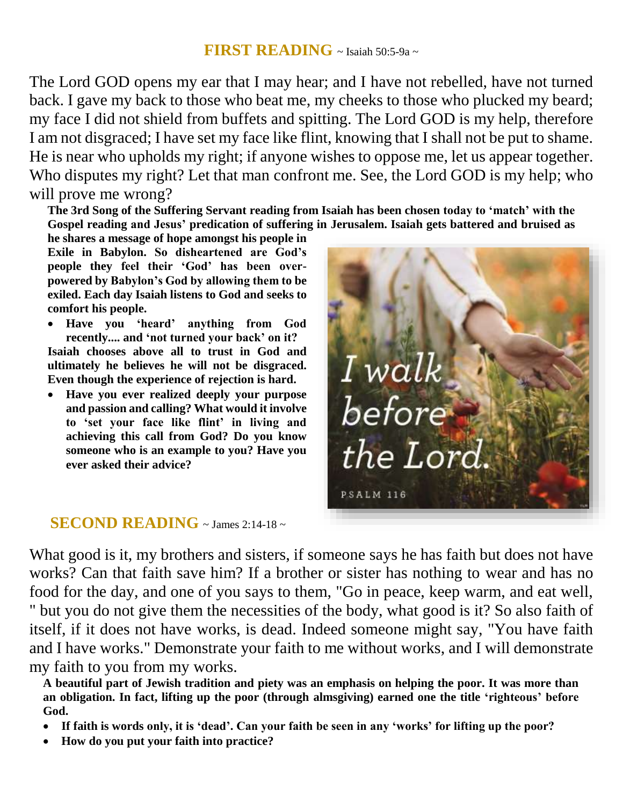### **FIRST READING**  $\sim$  Isaiah 50:5-9a  $\sim$

The Lord GOD opens my ear that I may hear; and I have not rebelled, have not turned back. I gave my back to those who beat me, my cheeks to those who plucked my beard; my face I did not shield from buffets and spitting. The Lord GOD is my help, therefore I am not disgraced; I have set my face like flint, knowing that I shall not be put to shame. He is near who upholds my right; if anyone wishes to oppose me, let us appear together. Who disputes my right? Let that man confront me. See, the Lord GOD is my help; who will prove me wrong?

**The 3rd Song of the Suffering Servant reading from Isaiah has been chosen today to 'match' with the Gospel reading and Jesus' predication of suffering in Jerusalem. Isaiah gets battered and bruised as** 

**he shares a message of hope amongst his people in Exile in Babylon. So disheartened are God's people they feel their 'God' has been overpowered by Babylon's God by allowing them to be exiled. Each day Isaiah listens to God and seeks to comfort his people.** 

 **Have you 'heard' anything from God recently.... and 'not turned your back' on it? Isaiah chooses above all to trust in God and ultimately he believes he will not be disgraced. Even though the experience of rejection is hard.** 

 **Have you ever realized deeply your purpose and passion and calling? What would it involve to 'set your face like flint' in living and achieving this call from God? Do you know someone who is an example to you? Have you ever asked their advice?**

## **SECOND READING** ~ James 2:14-18 ~

I walk<br>before the Lord. **PSALM 116** 

What good is it, my brothers and sisters, if some one says he has faith but does not have works? Can that faith save him? If a brother or sister has nothing to wear and has no food for the day, and one of you says to them, "Go in peace, keep warm, and eat well, " but you do not give them the necessities of the body, what good is it? So also faith of itself, if it does not have works, is dead. Indeed someone might say, "You have faith and I have works." Demonstrate your faith to me without works, and I will demonstrate my faith to you from my works.

**A beautiful part of Jewish tradition and piety was an emphasis on helping the poor. It was more than an obligation. In fact, lifting up the poor (through almsgiving) earned one the title 'righteous' before God.** 

- **If faith is words only, it is 'dead'. Can your faith be seen in any 'works' for lifting up the poor?**
- **How do you put your faith into practice?**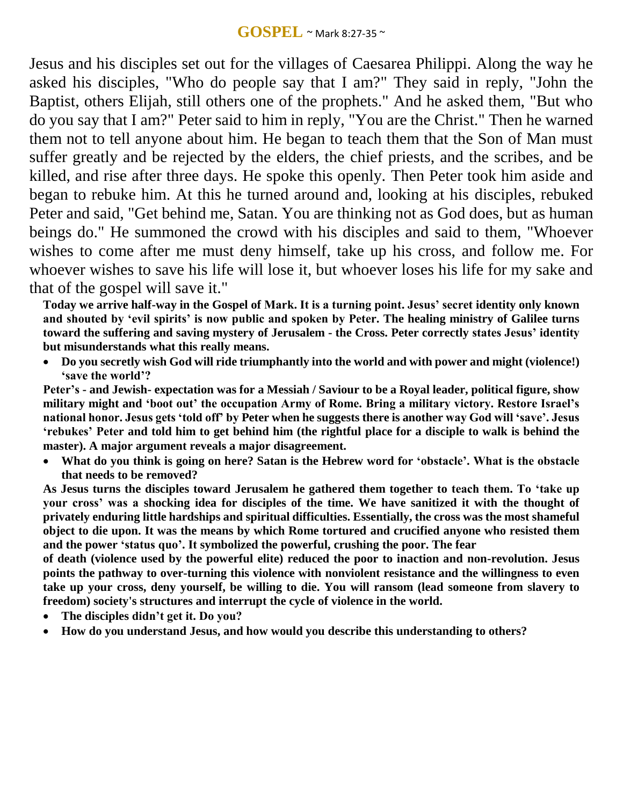Jesus and his disciples set out for the villages of Caesarea Philippi. Along the way he asked his disciples, "Who do people say that I am?" They said in reply, "John the Baptist, others Elijah, still others one of the prophets." And he asked them, "But who do you say that I am?" Peter said to him in reply, "You are the Christ." Then he warned them not to tell anyone about him. He began to teach them that the Son of Man must suffer greatly and be rejected by the elders, the chief priests, and the scribes, and be killed, and rise after three days. He spoke this openly. Then Peter took him aside and began to rebuke him. At this he turned around and, looking at his disciples, rebuked Peter and said, "Get behind me, Satan. You are thinking not as God does, but as human beings do." He summoned the crowd with his disciples and said to them, "Whoever wishes to come after me must deny himself, take up his cross, and follow me. For whoever wishes to save his life will lose it, but whoever loses his life for my sake and that of the gospel will save it."

**Today we arrive half-way in the Gospel of Mark. It is a turning point. Jesus' secret identity only known and shouted by ʻevil spirits' is now public and spoken by Peter. The healing ministry of Galilee turns toward the suffering and saving mystery of Jerusalem - the Cross. Peter correctly states Jesus' identity but misunderstands what this really means.** 

 **Do you secretly wish God will ride triumphantly into the world and with power and might (violence!) ʻsave the world'?**

**Peter's - and Jewish- expectation was for a Messiah / Saviour to be a Royal leader, political figure, show military might and ʻboot out' the occupation Army of Rome. Bring a military victory. Restore Israel's national honor. Jesus gets ʻtold off' by Peter when he suggests there is another way God will ʻsave'. Jesus ʻrebukes' Peter and told him to get behind him (the rightful place for a disciple to walk is behind the master). A major argument reveals a major disagreement.** 

 **What do you think is going on here? Satan is the Hebrew word for ʻobstacle'. What is the obstacle that needs to be removed?**

**As Jesus turns the disciples toward Jerusalem he gathered them together to teach them. To ʻtake up your cross' was a shocking idea for disciples of the time. We have sanitized it with the thought of privately enduring little hardships and spiritual difficulties. Essentially, the cross was the most shameful object to die upon. It was the means by which Rome tortured and crucified anyone who resisted them and the power ʻstatus quo'. It symbolized the powerful, crushing the poor. The fear**

**of death (violence used by the powerful elite) reduced the poor to inaction and non-revolution. Jesus points the pathway to over-turning this violence with nonviolent resistance and the willingness to even take up your cross, deny yourself, be willing to die. You will ransom (lead someone from slavery to freedom) society's structures and interrupt the cycle of violence in the world.** 

- **The disciples didn't get it. Do you?**
- **How do you understand Jesus, and how would you describe this understanding to others?**